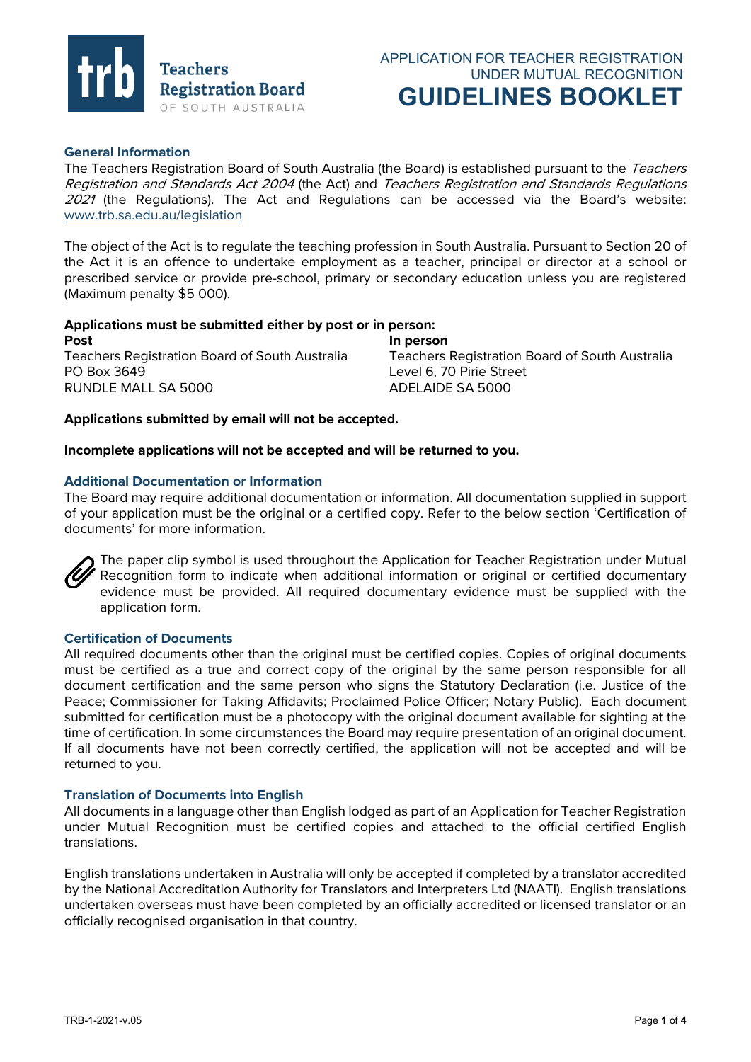

# **General Information**

The Teachers Registration Board of South Australia (the Board) is established pursuant to the Teachers Registration and Standards Act 2004 (the Act) and Teachers Registration and Standards Regulations 2021 (the Regulations). The Act and Regulations can be accessed via the Board's website: [www.trb.sa.edu.au/legislation](http://www.trb.sa.edu.au/legislation)

The object of the Act is to regulate the teaching profession in South Australia. Pursuant to Section 20 of the Act it is an offence to undertake employment as a teacher, principal or director at a school or prescribed service or provide pre-school, primary or secondary education unless you are registered (Maximum penalty \$5 000).

# **Applications must be submitted either by post or in person:**

**Post In person** Teachers Registration Board of South Australia Teachers Registration Board of South Australia PO Box 3649 Level 6, 70 Pirie Street RUNDLE MALL SA 5000 ADELAIDE SA 5000

## **Applications submitted by email will not be accepted.**

**Incomplete applications will not be accepted and will be returned to you.**

## **Additional Documentation or Information**

The Board may require additional documentation or information. All documentation supplied in support of your application must be the original or a certified copy. Refer to the below section 'Certification of documents' for more information.



The paper clip symbol is used throughout the Application for Teacher Registration under Mutual Recognition form to indicate when additional information or original or certified documentary evidence must be provided. All required documentary evidence must be supplied with the application form.

## **Certification of Documents**

All required documents other than the original must be certified copies. Copies of original documents must be certified as a true and correct copy of the original by the same person responsible for all document certification and the same person who signs the Statutory Declaration (i.e. Justice of the Peace; Commissioner for Taking Affidavits; Proclaimed Police Officer; Notary Public). Each document submitted for certification must be a photocopy with the original document available for sighting at the time of certification. In some circumstances the Board may require presentation of an original document. If all documents have not been correctly certified, the application will not be accepted and will be returned to you.

### **Translation of Documents into English**

All documents in a language other than English lodged as part of an Application for Teacher Registration under Mutual Recognition must be certified copies and attached to the official certified English translations.

English translations undertaken in Australia will only be accepted if completed by a translator accredited by the National Accreditation Authority for Translators and Interpreters Ltd (NAATI). English translations undertaken overseas must have been completed by an officially accredited or licensed translator or an officially recognised organisation in that country.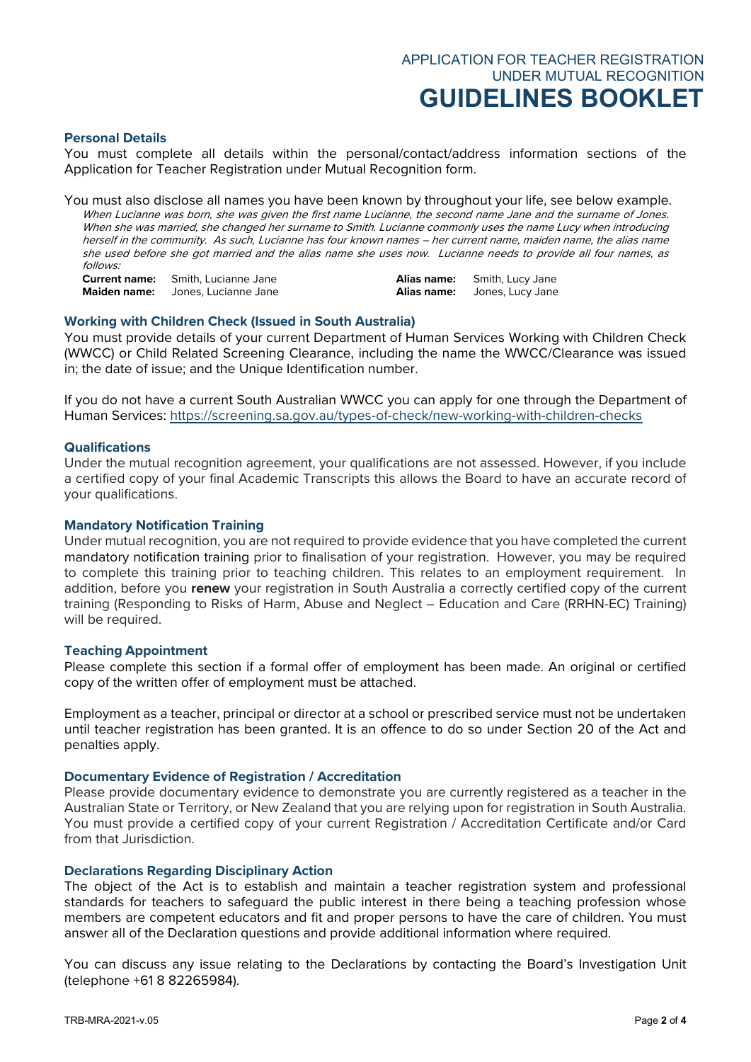#### **Personal Details**

You must complete all details within the personal/contact/address information sections of the Application for Teacher Registration under Mutual Recognition form.

You must also disclose all names you have been known by throughout your life, see below example. When Lucianne was born, she was given the first name Lucianne, the second name Jane and the surname of Jones. When she was married, she changed her surname to Smith. Lucianne commonly uses the name Lucy when introducing herself in the community. As such, Lucianne has four known names – her current name, maiden name, the alias name she used before she got married and the alias name she uses now. Lucianne needs to provide all four names, as follows:

**Current name:** Smith, Lucianne Jane **Alias name:** Smith, Lucy Jane **Maiden name:** Jones, Lucianne Jane **Alias name:** Jones, Lucy Jane

### **Working with Children Check (Issued in South Australia)**

You must provide details of your current Department of Human Services Working with Children Check (WWCC) or Child Related Screening Clearance, including the name the WWCC/Clearance was issued in; the date of issue; and the Unique Identification number.

If you do not have a current South Australian WWCC you can apply for one through the Department of Human Services:<https://screening.sa.gov.au/types-of-check/new-working-with-children-checks>

# **Qualifications**

Under the mutual recognition agreement, your qualifications are not assessed. However, if you include a certified copy of your final Academic Transcripts this allows the Board to have an accurate record of your qualifications.

### **Mandatory Notification Training**

Under mutual recognition, you are not required to provide evidence that you have completed the current mandatory notification training prior to finalisation of your registration. However, you may be required to complete this training prior to teaching children. This relates to an employment requirement. In addition, before you **renew** your registration in South Australia a correctly certified copy of the current training (Responding to Risks of Harm, Abuse and Neglect – Education and Care (RRHN-EC) Training) will be required.

### **Teaching Appointment**

Please complete this section if a formal offer of employment has been made. An original or certified copy of the written offer of employment must be attached.

Employment as a teacher, principal or director at a school or prescribed service must not be undertaken until teacher registration has been granted. It is an offence to do so under Section 20 of the Act and penalties apply.

#### **Documentary Evidence of Registration / Accreditation**

Please provide documentary evidence to demonstrate you are currently registered as a teacher in the Australian State or Territory, or New Zealand that you are relying upon for registration in South Australia. You must provide a certified copy of your current Registration / Accreditation Certificate and/or Card from that Jurisdiction.

### **Declarations Regarding Disciplinary Action**

The object of the Act is to establish and maintain a teacher registration system and professional standards for teachers to safeguard the public interest in there being a teaching profession whose members are competent educators and fit and proper persons to have the care of children. You must answer all of the Declaration questions and provide additional information where required.

You can discuss any issue relating to the Declarations by contacting the Board's Investigation Unit (telephone +61 8 82265984).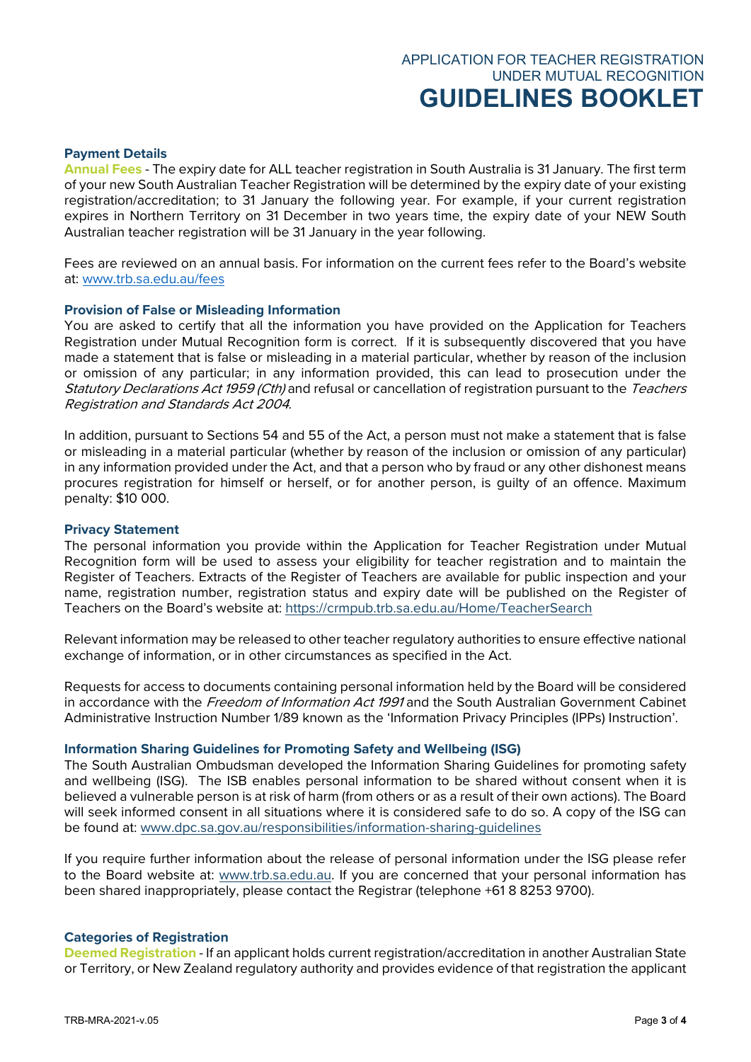## **Payment Details**

**Annual Fees** - The expiry date for ALL teacher registration in South Australia is 31 January. The first term of your new South Australian Teacher Registration will be determined by the expiry date of your existing registration/accreditation; to 31 January the following year. For example, if your current registration expires in Northern Territory on 31 December in two years time, the expiry date of your NEW South Australian teacher registration will be 31 January in the year following.

Fees are reviewed on an annual basis. For information on the current fees refer to the Board's website at: [www.trb.sa.edu.au/fees](http://www.trb.sa.edu.au/fees)

## **Provision of False or Misleading Information**

You are asked to certify that all the information you have provided on the Application for Teachers Registration under Mutual Recognition form is correct. If it is subsequently discovered that you have made a statement that is false or misleading in a material particular, whether by reason of the inclusion or omission of any particular; in any information provided, this can lead to prosecution under the Statutory Declarations Act 1959 (Cth) and refusal or cancellation of registration pursuant to the Teachers Registration and Standards Act 2004.

In addition, pursuant to Sections 54 and 55 of the Act, a person must not make a statement that is false or misleading in a material particular (whether by reason of the inclusion or omission of any particular) in any information provided under the Act, and that a person who by fraud or any other dishonest means procures registration for himself or herself, or for another person, is guilty of an offence. Maximum penalty: \$10 000.

#### **Privacy Statement**

The personal information you provide within the Application for Teacher Registration under Mutual Recognition form will be used to assess your eligibility for teacher registration and to maintain the Register of Teachers. Extracts of the Register of Teachers are available for public inspection and your name, registration number, registration status and expiry date will be published on the Register of Teachers on the Board's website at:<https://crmpub.trb.sa.edu.au/Home/TeacherSearch>

Relevant information may be released to other teacher regulatory authorities to ensure effective national exchange of information, or in other circumstances as specified in the Act.

Requests for access to documents containing personal information held by the Board will be considered in accordance with the *Freedom of Information Act 1991* and the South Australian Government Cabinet Administrative Instruction Number 1/89 known as the 'Information Privacy Principles (IPPs) Instruction'.

### **Information Sharing Guidelines for Promoting Safety and Wellbeing (ISG)**

The South Australian Ombudsman developed the Information Sharing Guidelines for promoting safety and wellbeing (ISG). The ISB enables personal information to be shared without consent when it is believed a vulnerable person is at risk of harm (from others or as a result of their own actions). The Board will seek informed consent in all situations where it is considered safe to do so. A copy of the ISG can be found at: [www.dpc.sa.gov.au/responsibilities/information-sharing-guidelines](http://www.dpc.sa.gov.au/responsibilities/information-sharing-guidelines)

If you require further information about the release of personal information under the ISG please refer to the Board website at: [www.trb.sa.edu.au.](http://www.trb.sa.edu.au/) If you are concerned that your personal information has been shared inappropriately, please contact the Registrar (telephone +61 8 8253 9700).

#### **Categories of Registration**

**Deemed Registration** - If an applicant holds current registration/accreditation in another Australian State or Territory, or New Zealand regulatory authority and provides evidence of that registration the applicant